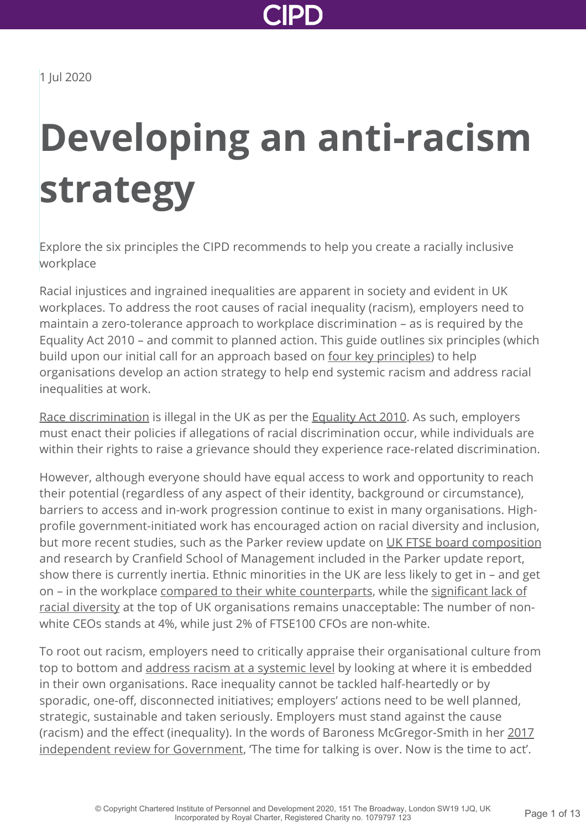

# **Developing an anti-racism strategy**

Explore the six principles the CIPD recommends to help you create a racially inclusive workplace

Racial injustices and ingrained inequalities are apparent in society and evident in UK workplaces. To address the root causes of racial inequality (racism), employers need to maintain a zero-tolerance approach to workplace discrimination – as is required by the Equality Act 2010 – and commit to planned action. This guide outlines six principles (which build upon our initial call for an approach based on [four key principles\)](http://www.cipd.co.uk/news-views/news-articles/racism-no-place-society/) to help organisations develop an action strategy to help end systemic racism and address racial inequalities at work.

[Race discrimination](http://www.cipd.co.uk/knowledge/fundamentals/emp-law/race-discrimination/factsheet/) is illegal in the UK as per the **Equality Act 2010**. As such, employers must enact their policies if allegations of racial discrimination occur, while individuals are within their rights to raise a grievance should they experience race-related discrimination.

However, although everyone should have equal access to work and opportunity to reach their potential (regardless of any aspect of their identity, background or circumstance), barriers to access and in-work progression continue to exist in many organisations. Highprofile government-initiated work has encouraged action on racial diversity and inclusion, but more recent studies, such as the Parker review update on [UK FTSE board composition](https://www.ey.com/en_uk/news/2020/02/new-parker-review-report-reveals-slow-progress-on-ethnic-diversity-of-ftse-boards) and research by Cranfield School of Management included in the Parker update report, show there is currently inertia. Ethnic minorities in the UK are less likely to get in – and get [on – in the workplace](http://www.cipd.co.uk/news-views/cipd-voice/issue-13/barriers-bame-career-progression/) [compared to their white counterpart](https://www.gov.uk/government/publications/race-in-the-workplace-the-mcgregor-smith-review)[s, while the significant lack of](http://www.cipd.co.uk/news-views/cipd-voice/issue-13/barriers-bame-career-progression/) racial diversity at the top of UK organisations remains unacceptable: The number of nonwhite CEOs stands at 4%, while just 2% of FTSE100 CFOs are non-white.

To root out racism, employers need to critically appraise their organisational culture from top to bottom and [address racism at a systemic level](https://hbr.org/2020/06/confronting-racism-at-work-a-reading-list) by looking at where it is embedded in their own organisations. Race inequality cannot be tackled half-heartedly or by sporadic, one-off, disconnected initiatives; employers' actions need to be well planned, strategic, sustainable and taken seriously. Employers must stand against the cause [\(racism\) and the effect \(inequality\). In the words of Baroness McGregor-Smith in her 2017](https://assets.publishing.service.gov.uk/government/uploads/system/uploads/attachment_data/file/594336/race-in-workplace-mcgregor-smith-review.pdf) independent review for Government, 'The time for talking is over. Now is the time to act'.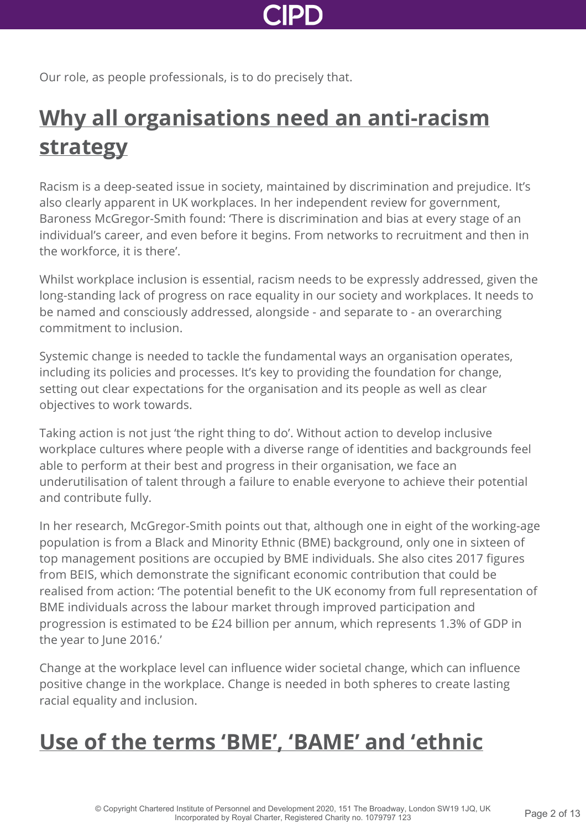

Our role, as people professionals, is to do precisely that.

## **[Why all organisations need an anti-racism](http://www.cipd.co.uk/knowledge/fundamentals/relations/diversity/anti-racism-strategy?pdf=true#) strategy**

Racism is a deep-seated issue in society, maintained by discrimination and prejudice. It's also clearly apparent in UK workplaces. In her independent review for government, Baroness McGregor-Smith found: 'There is discrimination and bias at every stage of an individual's career, and even before it begins. From networks to recruitment and then in the workforce, it is there'.

Whilst workplace inclusion is essential, racism needs to be expressly addressed, given the long-standing lack of progress on race equality in our society and workplaces. It needs to be named and consciously addressed, alongside - and separate to - an overarching commitment to inclusion.

Systemic change is needed to tackle the fundamental ways an organisation operates, including its policies and processes. It's key to providing the foundation for change, setting out clear expectations for the organisation and its people as well as clear objectives to work towards.

Taking action is not just 'the right thing to do'. Without action to develop inclusive workplace cultures where people with a diverse range of identities and backgrounds feel able to perform at their best and progress in their organisation, we face an underutilisation of talent through a failure to enable everyone to achieve their potential and contribute fully.

In her research, McGregor-Smith points out that, although one in eight of the working-age population is from a Black and Minority Ethnic (BME) background, only one in sixteen of top management positions are occupied by BME individuals. She also cites 2017 figures from BEIS, which demonstrate the significant economic contribution that could be realised from action: 'The potential benefit to the UK economy from full representation of BME individuals across the labour market through improved participation and progression is estimated to be £24 billion per annum, which represents 1.3% of GDP in the year to June 2016.'

Change at the workplace level can influence wider societal change, which can influence positive change in the workplace. Change is needed in both spheres to create lasting racial equality and inclusion.

### **[Use of the terms 'BME', 'BAME' and 'ethnic](http://www.cipd.co.uk/knowledge/fundamentals/relations/diversity/anti-racism-strategy?pdf=true#)**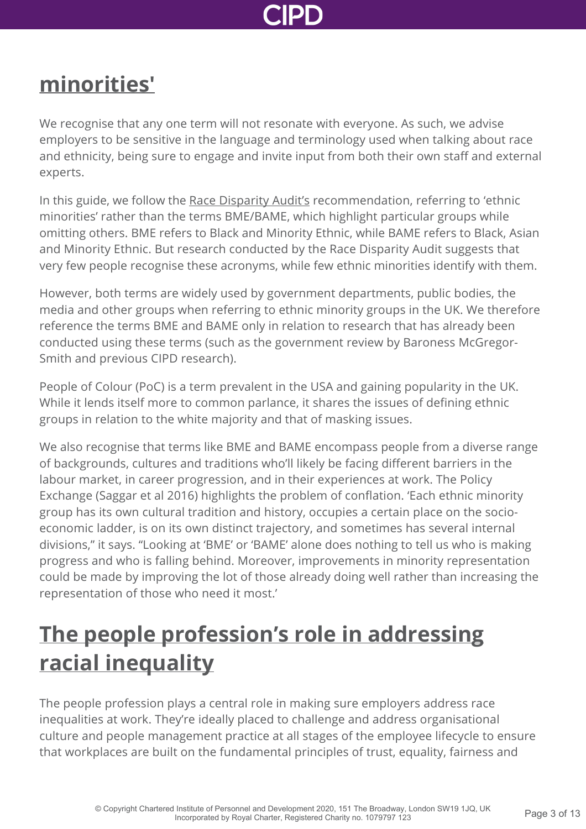

### **[minorities'](http://www.cipd.co.uk/knowledge/fundamentals/relations/diversity/anti-racism-strategy?pdf=true#)**

We recognise that any one term will not resonate with everyone. As such, we advise employers to be sensitive in the language and terminology used when talking about race and ethnicity, being sure to engage and invite input from both their own staff and external experts.

In this guide, we follow the [Race Disparity Audit's](https://www.ethnicity-facts-figures.service.gov.uk/) recommendation, referring to 'ethnic minorities' rather than the terms BME/BAME, which highlight particular groups while omitting others. BME refers to Black and Minority Ethnic, while BAME refers to Black, Asian and Minority Ethnic. But research conducted by the Race Disparity Audit suggests that very few people recognise these acronyms, while few ethnic minorities identify with them.

However, both terms are widely used by government departments, public bodies, the media and other groups when referring to ethnic minority groups in the UK. We therefore reference the terms BME and BAME only in relation to research that has already been conducted using these terms (such as the government review by Baroness McGregor-Smith and previous CIPD research).

People of Colour (PoC) is a term prevalent in the USA and gaining popularity in the UK. While it lends itself more to common parlance, it shares the issues of defining ethnic groups in relation to the white majority and that of masking issues.

We also recognise that terms like BME and BAME encompass people from a diverse range of backgrounds, cultures and traditions who'll likely be facing different barriers in the labour market, in career progression, and in their experiences at work. The Policy Exchange (Saggar et al 2016) highlights the problem of conflation. 'Each ethnic minority group has its own cultural tradition and history, occupies a certain place on the socioeconomic ladder, is on its own distinct trajectory, and sometimes has several internal divisions," it says. "Looking at 'BME' or 'BAME' alone does nothing to tell us who is making progress and who is falling behind. Moreover, improvements in minority representation could be made by improving the lot of those already doing well rather than increasing the representation of those who need it most.'

### **[The people profession's role in addressing](http://www.cipd.co.uk/knowledge/fundamentals/relations/diversity/anti-racism-strategy?pdf=true#) racial inequality**

The people profession plays a central role in making sure employers address race inequalities at work. They're ideally placed to challenge and address organisational culture and people management practice at all stages of the employee lifecycle to ensure that workplaces are built on the fundamental principles of trust, equality, fairness and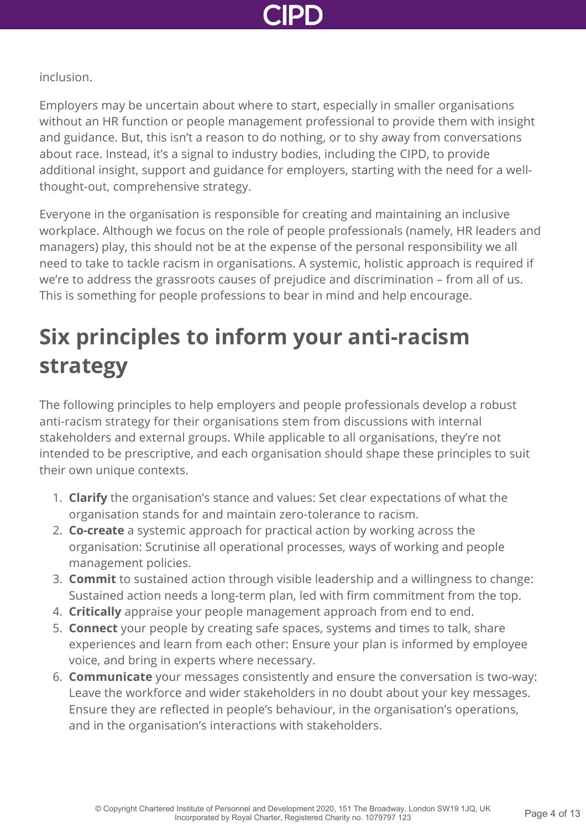

#### inclusion.

Employers may be uncertain about where to start, especially in smaller organisations without an HR function or people management professional to provide them with insight and guidance. But, this isn't a reason to do nothing, or to shy away from conversations about race. Instead, it's a signal to industry bodies, including the CIPD, to provide additional insight, support and guidance for employers, starting with the need for a wellthought-out, comprehensive strategy.

Everyone in the organisation is responsible for creating and maintaining an inclusive workplace. Although we focus on the role of people professionals (namely, HR leaders and managers) play, this should not be at the expense of the personal responsibility we all need to take to tackle racism in organisations. A systemic, holistic approach is required if we're to address the grassroots causes of prejudice and discrimination – from all of us. This is something for people professions to bear in mind and help encourage.

### **Six principles to inform your anti-racism strategy**

The following principles to help employers and people professionals develop a robust anti-racism strategy for their organisations stem from discussions with internal stakeholders and external groups. While applicable to all organisations, they're not intended to be prescriptive, and each organisation should shape these principles to suit their own unique contexts.

- 1. **Clarify** the organisation's stance and values: Set clear expectations of what the organisation stands for and maintain zero-tolerance to racism.
- 2. **Co-create** a systemic approach for practical action by working across the organisation: Scrutinise all operational processes, ways of working and people management policies.
- 3. **Commit** to sustained action through visible leadership and a willingness to change: Sustained action needs a long-term plan, led with firm commitment from the top.
- 4. **Critically** appraise your people management approach from end to end.
- 5. **Connect** your people by creating safe spaces, systems and times to talk, share experiences and learn from each other: Ensure your plan is informed by employee voice, and bring in experts where necessary.
- 6. **Communicate** your messages consistently and ensure the conversation is two-way: Leave the workforce and wider stakeholders in no doubt about your key messages. Ensure they are reflected in people's behaviour, in the organisation's operations, and in the organisation's interactions with stakeholders.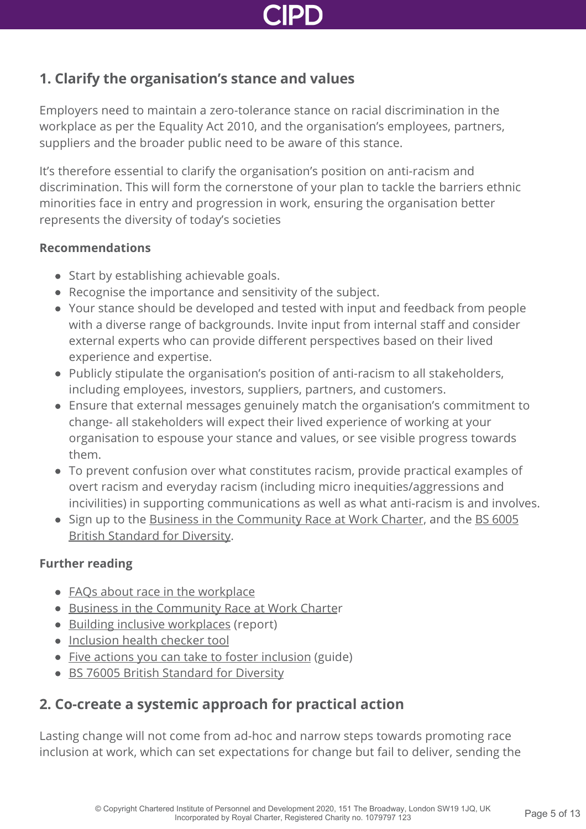

#### **1. Clarify the organisation's stance and values**

Employers need to maintain a zero-tolerance stance on racial discrimination in the workplace as per the Equality Act 2010, and the organisation's employees, partners, suppliers and the broader public need to be aware of this stance.

It's therefore essential to clarify the organisation's position on anti-racism and discrimination. This will form the cornerstone of your plan to tackle the barriers ethnic minorities face in entry and progression in work, ensuring the organisation better represents the diversity of today's societies

#### **Recommendations**

- Start by establishing achievable goals.
- Recognise the importance and sensitivity of the subject.
- Your stance should be developed and tested with input and feedback from people with a diverse range of backgrounds. Invite input from internal staff and consider external experts who can provide different perspectives based on their lived experience and expertise.
- Publicly stipulate the organisation's position of anti-racism to all stakeholders, including employees, investors, suppliers, partners, and customers.
- Ensure that external messages genuinely match the organisation's commitment to change- all stakeholders will expect their lived experience of working at your organisation to espouse your stance and values, or see visible progress towards them.
- To prevent confusion over what constitutes racism, provide practical examples of overt racism and everyday racism (including micro inequities/aggressions and incivilities) in supporting communications as well as what anti-racism is and involves.
- [Sign up to the B](https://www.bsigroup.com/en-GB/about-bsi/media-centre/press-releases/2017/june/British-Standard-for-diversity-and-inclusion-launched/)[usiness in the Community Race at Work Charte](https://www.cipd.co.uk/Images/business-in-the-community-race-at-work-charter_tcm18-49844.pdf)[r, and the BS 6005](https://www.bsigroup.com/en-GB/about-bsi/media-centre/press-releases/2017/june/British-Standard-for-diversity-and-inclusion-launched/) British Standard for Diversity.

#### **Further reading**

- [FAQs about race in the workplace](http://www.cipd.co.uk/knowledge/fundamentals/emp-law/race-discrimination/race-workplace-faqs/)
- **[Business in the Community Race at Work Charte](https://www.cipd.co.uk/Images/business-in-the-community-race-at-work-charter_tcm18-49844.pdf)r**
- [Building inclusive workplaces](http://www.cipd.co.uk/knowledge/fundamentals/relations/diversity/building-inclusive-workplaces/) (report)
- [Inclusion health checker tool](http://www.cipd.co.uk/knowledge/fundamentals/relations/diversity/inclusion-health-checker-tool/)
- [Five actions you can take to foster inclusion](http://www.cipd.co.uk/knowledge/fundamentals/relations/diversity/five-actions-fostering-inclusion/) (guide)
- **[BS 76005 British Standard for Diversity](https://www.bsigroup.com/en-GB/about-bsi/media-centre/press-releases/2017/june/British-Standard-for-diversity-and-inclusion-launched/)**

#### **2. Co-create a systemic approach for practical action**

Lasting change will not come from ad-hoc and narrow steps towards promoting race inclusion at work, which can set expectations for change but fail to deliver, sending the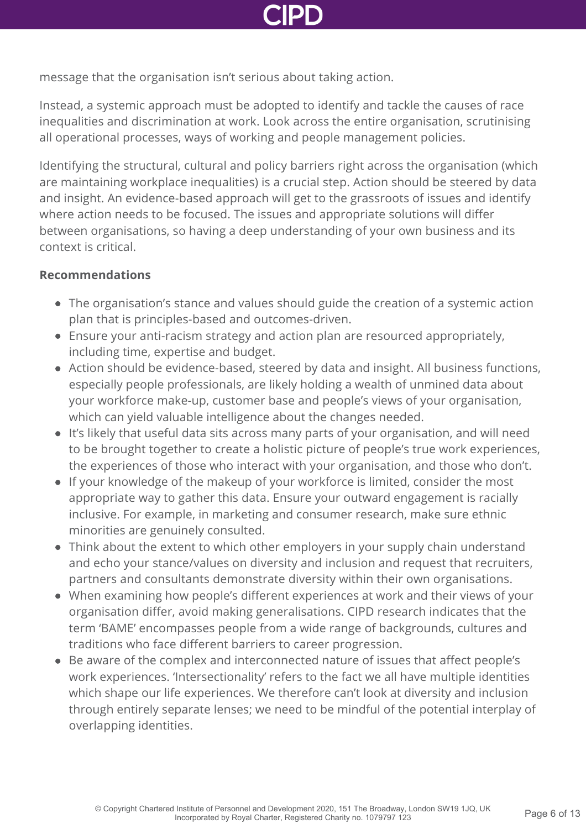

message that the organisation isn't serious about taking action.

Instead, a systemic approach must be adopted to identify and tackle the causes of race inequalities and discrimination at work. Look across the entire organisation, scrutinising all operational processes, ways of working and people management policies.

Identifying the structural, cultural and policy barriers right across the organisation (which are maintaining workplace inequalities) is a crucial step. Action should be steered by data and insight. An evidence-based approach will get to the grassroots of issues and identify where action needs to be focused. The issues and appropriate solutions will differ between organisations, so having a deep understanding of your own business and its context is critical.

- The organisation's stance and values should guide the creation of a systemic action plan that is principles-based and outcomes-driven.
- Ensure your anti-racism strategy and action plan are resourced appropriately, including time, expertise and budget.
- Action should be evidence-based, steered by data and insight. All business functions, especially people professionals, are likely holding a wealth of unmined data about your workforce make-up, customer base and people's views of your organisation, which can yield valuable intelligence about the changes needed.
- It's likely that useful data sits across many parts of your organisation, and will need to be brought together to create a holistic picture of people's true work experiences, the experiences of those who interact with your organisation, and those who don't.
- If your knowledge of the makeup of your workforce is limited, consider the most appropriate way to gather this data. Ensure your outward engagement is racially inclusive. For example, in marketing and consumer research, make sure ethnic minorities are genuinely consulted.
- Think about the extent to which other employers in your supply chain understand and echo your stance/values on diversity and inclusion and request that recruiters, partners and consultants demonstrate diversity within their own organisations.
- When examining how people's different experiences at work and their views of your organisation differ, avoid making generalisations. CIPD research indicates that the term 'BAME' encompasses people from a wide range of backgrounds, cultures and traditions who face different barriers to career progression.
- Be aware of the complex and interconnected nature of issues that affect people's work experiences. 'Intersectionality' refers to the fact we all have multiple identities which shape our life experiences. We therefore can't look at diversity and inclusion through entirely separate lenses; we need to be mindful of the potential interplay of overlapping identities.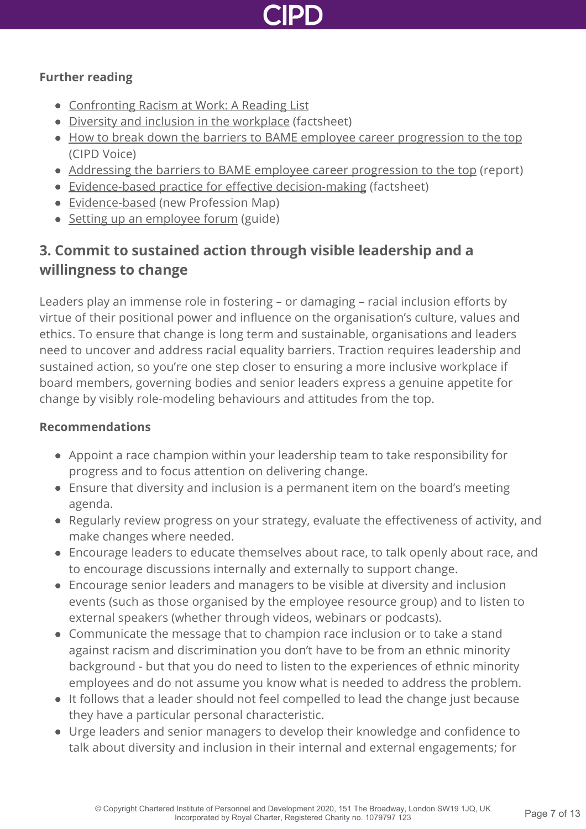

#### **Further reading**

- [Confronting Racism at Work: A Reading List](https://hbr.org/2020/06/confronting-racism-at-work-a-reading-list)
- [Diversity and inclusion in the workplace](http://www.cipd.co.uk/knowledge/fundamentals/relations/diversity/factsheet/) (factsheet)
- [How to break down the barriers to BAME employee career progression to the top](http://www.cipd.co.uk/news-views/cipd-voice/issue-13/barriers-bame-career-progression/) (CIPD Voice)
- [Addressing the barriers to BAME employee career progression to the top](http://www.cipd.co.uk/knowledge/fundamentals/relations/diversity/bame-career-progression/) (report)
- [Evidence-based practice for effective decision-making](http://www.cipd.co.uk/knowledge/strategy/analytics/evidence-based-practice-factsheet/) (factsheet)
- [Evidence-based](https://peopleprofession.cipd.org/profession-map/core-purpose/evidence-based) (new Profession Map)
- [Setting up an employee forum](http://www.cipd.co.uk/knowledge/fundamentals/relations/communication/guide/) (guide)

### **3. Commit to sustained action through visible leadership and a willingness to change**

Leaders play an immense role in fostering – or damaging – racial inclusion efforts by virtue of their positional power and influence on the organisation's culture, values and ethics. To ensure that change is long term and sustainable, organisations and leaders need to uncover and address racial equality barriers. Traction requires leadership and sustained action, so you're one step closer to ensuring a more inclusive workplace if board members, governing bodies and senior leaders express a genuine appetite for change by visibly role-modeling behaviours and attitudes from the top.

- Appoint a race champion within your leadership team to take responsibility for progress and to focus attention on delivering change.
- Ensure that diversity and inclusion is a permanent item on the board's meeting agenda.
- Regularly review progress on your strategy, evaluate the effectiveness of activity, and make changes where needed.
- Encourage leaders to educate themselves about race, to talk openly about race, and to encourage discussions internally and externally to support change.
- Encourage senior leaders and managers to be visible at diversity and inclusion events (such as those organised by the employee resource group) and to listen to external speakers (whether through videos, webinars or podcasts).
- Communicate the message that to champion race inclusion or to take a stand against racism and discrimination you don't have to be from an ethnic minority background - but that you do need to listen to the experiences of ethnic minority employees and do not assume you know what is needed to address the problem.
- It follows that a leader should not feel compelled to lead the change just because they have a particular personal characteristic.
- Urge leaders and senior managers to develop their knowledge and confidence to talk about diversity and inclusion in their internal and external engagements; for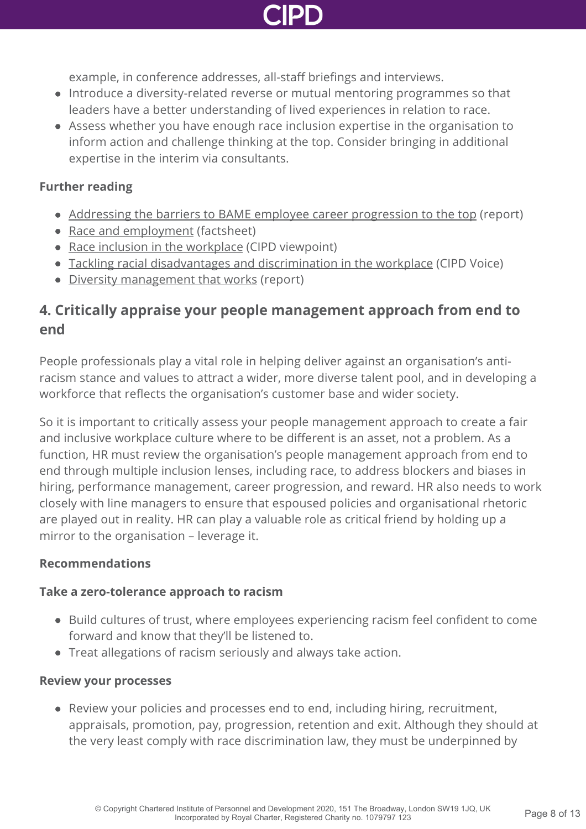

example, in conference addresses, all-staff briefings and interviews.

- Introduce a diversity-related reverse or mutual mentoring programmes so that leaders have a better understanding of lived experiences in relation to race.
- Assess whether you have enough race inclusion expertise in the organisation to inform action and challenge thinking at the top. Consider bringing in additional expertise in the interim via consultants.

#### **Further reading**

- [Addressing the barriers to BAME employee career progression to the top](http://www.cipd.co.uk/knowledge/fundamentals/relations/diversity/bame-career-progression/) (report)
- [Race and employment](http://www.cipd.co.uk/knowledge/fundamentals/emp-law/race-discrimination/factsheet/) (factsheet)
- [Race inclusion in the workplace](http://www.cipd.co.uk/news-views/viewpoint/race-inclusion-workplace/) (CIPD viewpoint)
- [Tackling racial disadvantages and discrimination in the workplace](http://www.cipd.co.uk/news-views/cipd-voice/issue-15/tackling-workplace-racial-disadvantages/) (CIPD Voice)
- [Diversity management that works](http://www.cipd.co.uk/knowledge/fundamentals/relations/diversity/management-recommendations/) (report)

#### **4. Critically appraise your people management approach from end to end**

People professionals play a vital role in helping deliver against an organisation's antiracism stance and values to attract a wider, more diverse talent pool, and in developing a workforce that reflects the organisation's customer base and wider society.

So it is important to critically assess your people management approach to create a fair and inclusive workplace culture where to be different is an asset, not a problem. As a function, HR must review the organisation's people management approach from end to end through multiple inclusion lenses, including race, to address blockers and biases in hiring, performance management, career progression, and reward. HR also needs to work closely with line managers to ensure that espoused policies and organisational rhetoric are played out in reality. HR can play a valuable role as critical friend by holding up a mirror to the organisation – leverage it.

#### **Recommendations**

#### **Take a zero-tolerance approach to racism**

- Build cultures of trust, where employees experiencing racism feel confident to come forward and know that they'll be listened to.
- Treat allegations of racism seriously and always take action.

#### **Review your processes**

Review your policies and processes end to end, including hiring, recruitment, appraisals, promotion, pay, progression, retention and exit. Although they should at the very least comply with race discrimination law, they must be underpinned by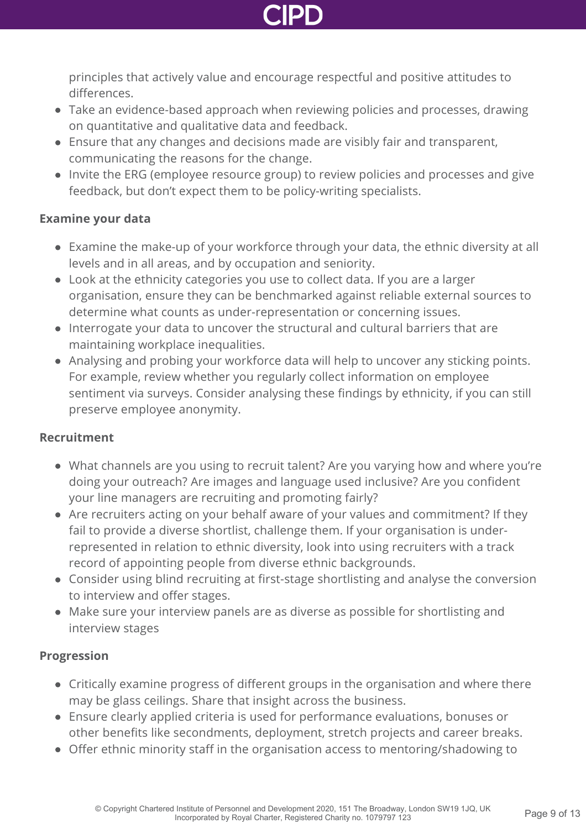

principles that actively value and encourage respectful and positive attitudes to differences.

- Take an evidence-based approach when reviewing policies and processes, drawing on quantitative and qualitative data and feedback.
- Ensure that any changes and decisions made are visibly fair and transparent, communicating the reasons for the change.
- Invite the ERG (employee resource group) to review policies and processes and give feedback, but don't expect them to be policy-writing specialists.

#### **Examine your data**

- Examine the make-up of your workforce through your data, the ethnic diversity at all levels and in all areas, and by occupation and seniority.
- Look at the ethnicity categories you use to collect data. If you are a larger organisation, ensure they can be benchmarked against reliable external sources to determine what counts as under-representation or concerning issues.
- Interrogate your data to uncover the structural and cultural barriers that are maintaining workplace inequalities.
- Analysing and probing your workforce data will help to uncover any sticking points. For example, review whether you regularly collect information on employee sentiment via surveys. Consider analysing these findings by ethnicity, if you can still preserve employee anonymity.

#### **Recruitment**

- What channels are you using to recruit talent? Are you varying how and where you're doing your outreach? Are images and language used inclusive? Are you confident your line managers are recruiting and promoting fairly?
- Are recruiters acting on your behalf aware of your values and commitment? If they fail to provide a diverse shortlist, challenge them. If your organisation is underrepresented in relation to ethnic diversity, look into using recruiters with a track record of appointing people from diverse ethnic backgrounds.
- Consider using blind recruiting at first-stage shortlisting and analyse the conversion to interview and offer stages.
- Make sure your interview panels are as diverse as possible for shortlisting and interview stages

#### **Progression**

- Critically examine progress of different groups in the organisation and where there may be glass ceilings. Share that insight across the business.
- Ensure clearly applied criteria is used for performance evaluations, bonuses or other benefits like secondments, deployment, stretch projects and career breaks.
- Offer ethnic minority staff in the organisation access to mentoring/shadowing to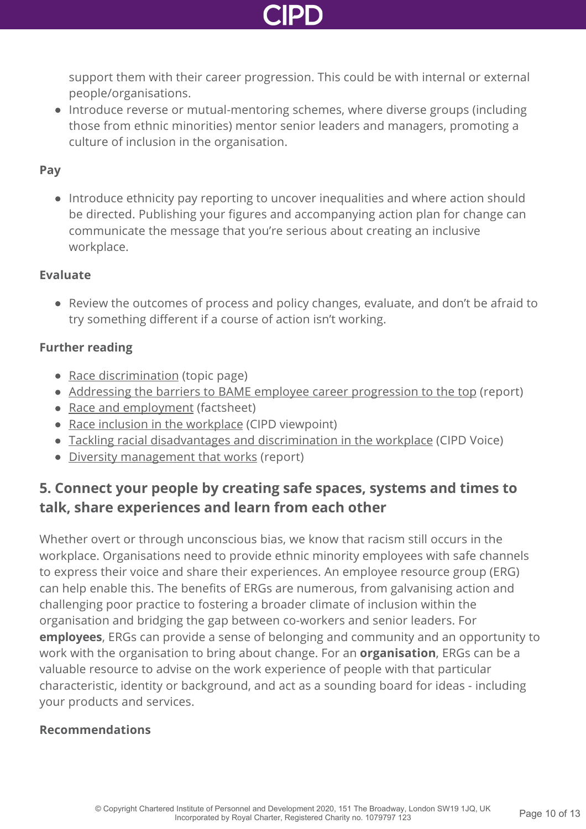

support them with their career progression. This could be with internal or external people/organisations.

• Introduce reverse or mutual-mentoring schemes, where diverse groups (including those from ethnic minorities) mentor senior leaders and managers, promoting a culture of inclusion in the organisation.

#### **Pay**

• Introduce ethnicity pay reporting to uncover inequalities and where action should be directed. Publishing your figures and accompanying action plan for change can communicate the message that you're serious about creating an inclusive workplace.

#### **Evaluate**

Review the outcomes of process and policy changes, evaluate, and don't be afraid to try something different if a course of action isn't working.

#### **Further reading**

- [Race discrimination](http://www.cipd.co.uk/knowledge/fundamentals/emp-law/race-discrimination/) (topic page)
- [Addressing the barriers to BAME employee career progression to the top](http://www.cipd.co.uk/knowledge/fundamentals/relations/diversity/bame-career-progression/) (report)
- [Race and employment](http://www.cipd.co.uk/knowledge/fundamentals/emp-law/race-discrimination/factsheet/) (factsheet)
- [Race inclusion in the workplace](http://www.cipd.co.uk/news-views/viewpoint/race-inclusion-workplace/) (CIPD viewpoint)
- [Tackling racial disadvantages and discrimination in the workplace](http://www.cipd.co.uk/news-views/cipd-voice/issue-15/tackling-workplace-racial-disadvantages/) (CIPD Voice)
- [Diversity management that works](http://www.cipd.co.uk/knowledge/fundamentals/relations/diversity/management-recommendations/) (report)

#### **5. Connect your people by creating safe spaces, systems and times to talk, share experiences and learn from each other**

Whether overt or through unconscious bias, we know that racism still occurs in the workplace. Organisations need to provide ethnic minority employees with safe channels to express their voice and share their experiences. An employee resource group (ERG) can help enable this. The benefits of ERGs are numerous, from galvanising action and challenging poor practice to fostering a broader climate of inclusion within the organisation and bridging the gap between co-workers and senior leaders. For **employees**, ERGs can provide a sense of belonging and community and an opportunity to work with the organisation to bring about change. For an **organisation**, ERGs can be a valuable resource to advise on the work experience of people with that particular characteristic, identity or background, and act as a sounding board for ideas - including your products and services.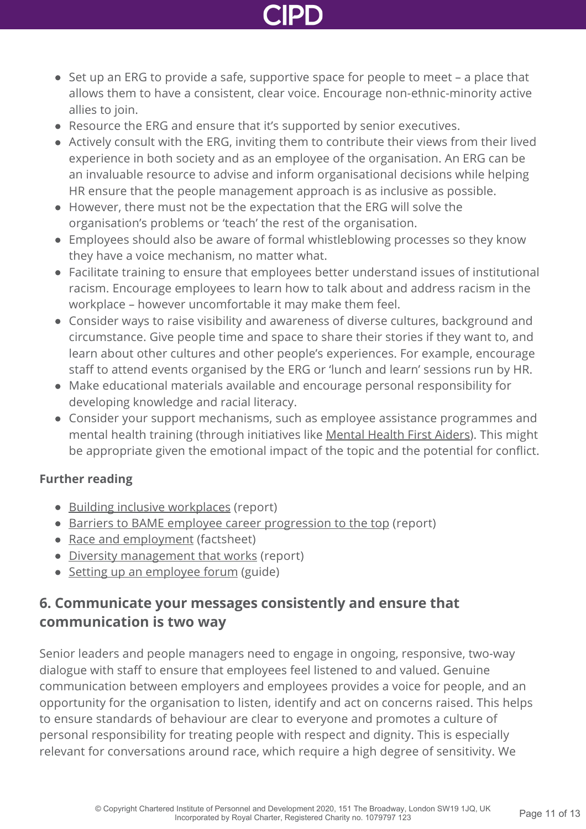

- Set up an ERG to provide a safe, supportive space for people to meet a place that allows them to have a consistent, clear voice. Encourage non-ethnic-minority active allies to join.
- Resource the ERG and ensure that it's supported by senior executives.
- Actively consult with the ERG, inviting them to contribute their views from their lived experience in both society and as an employee of the organisation. An ERG can be an invaluable resource to advise and inform organisational decisions while helping HR ensure that the people management approach is as inclusive as possible.
- However, there must not be the expectation that the ERG will solve the organisation's problems or 'teach' the rest of the organisation.
- Employees should also be aware of formal whistleblowing processes so they know they have a voice mechanism, no matter what.
- Facilitate training to ensure that employees better understand issues of institutional racism. Encourage employees to learn how to talk about and address racism in the workplace – however uncomfortable it may make them feel.
- Consider ways to raise visibility and awareness of diverse cultures, background and circumstance. Give people time and space to share their stories if they want to, and learn about other cultures and other people's experiences. For example, encourage staff to attend events organised by the ERG or 'lunch and learn' sessions run by HR.
- Make educational materials available and encourage personal responsibility for developing knowledge and racial literacy.
- Consider your support mechanisms, such as employee assistance programmes and mental health training (through initiatives like [Mental Health First Aiders](https://mhfaengland.org/)). This might be appropriate given the emotional impact of the topic and the potential for conflict.

#### **Further reading**

- [Building inclusive workplaces](http://www.cipd.co.uk/knowledge/fundamentals/relations/diversity/building-inclusive-workplaces/) (report)
- [Barriers to BAME employee career progression to the top](http://www.cipd.co.uk/knowledge/fundamentals/relations/diversity/bame-career-progression/) (report)
- [Race and employment](http://www.cipd.co.uk/knowledge/fundamentals/emp-law/race-discrimination/factsheet/) (factsheet)
- [Diversity management that works](http://www.cipd.co.uk/knowledge/fundamentals/relations/diversity/management-recommendations/) (report)
- [Setting up an employee forum](http://www.cipd.co.uk/knowledge/fundamentals/relations/communication/guide/) (guide)

#### **6. Communicate your messages consistently and ensure that communication is two way**

Senior leaders and people managers need to engage in ongoing, responsive, two-way dialogue with staff to ensure that employees feel listened to and valued. Genuine communication between employers and employees provides a voice for people, and an opportunity for the organisation to listen, identify and act on concerns raised. This helps to ensure standards of behaviour are clear to everyone and promotes a culture of personal responsibility for treating people with respect and dignity. This is especially relevant for conversations around race, which require a high degree of sensitivity. We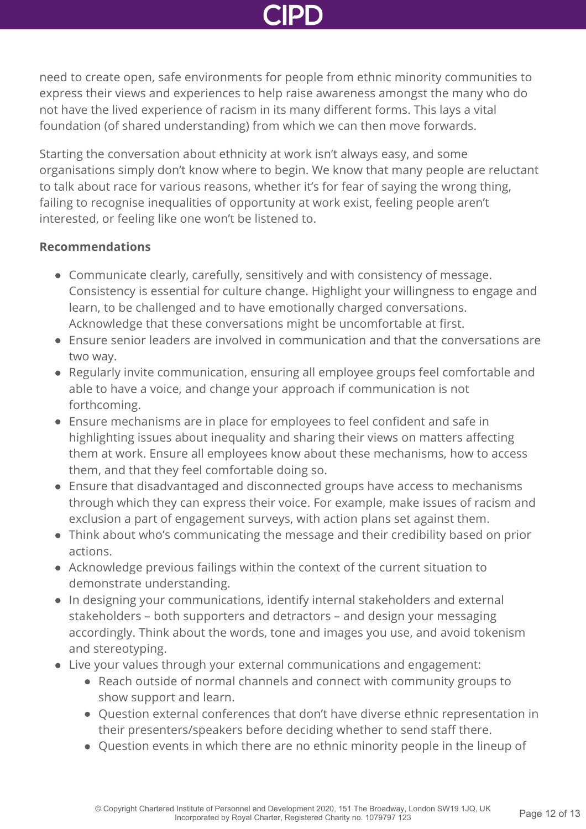need to create open, safe environments for people from ethnic minority communities to express their views and experiences to help raise awareness amongst the many who do not have the lived experience of racism in its many different forms. This lays a vital foundation (of shared understanding) from which we can then move forwards.

Starting the conversation about ethnicity at work isn't always easy, and some organisations simply don't know where to begin. We know that many people are reluctant to talk about race for various reasons, whether it's for fear of saying the wrong thing, failing to recognise inequalities of opportunity at work exist, feeling people aren't interested, or feeling like one won't be listened to.

- Communicate clearly, carefully, sensitively and with consistency of message. Consistency is essential for culture change. Highlight your willingness to engage and learn, to be challenged and to have emotionally charged conversations. Acknowledge that these conversations might be uncomfortable at first.
- Ensure senior leaders are involved in communication and that the conversations are two way.
- Regularly invite communication, ensuring all employee groups feel comfortable and able to have a voice, and change your approach if communication is not forthcoming.
- Ensure mechanisms are in place for employees to feel confident and safe in highlighting issues about inequality and sharing their views on matters affecting them at work. Ensure all employees know about these mechanisms, how to access them, and that they feel comfortable doing so.
- Ensure that disadvantaged and disconnected groups have access to mechanisms through which they can express their voice. For example, make issues of racism and exclusion a part of engagement surveys, with action plans set against them.
- Think about who's communicating the message and their credibility based on prior actions.
- Acknowledge previous failings within the context of the current situation to demonstrate understanding.
- In designing your communications, identify internal stakeholders and external stakeholders – both supporters and detractors – and design your messaging accordingly. Think about the words, tone and images you use, and avoid tokenism and stereotyping.
- Live your values through your external communications and engagement:
	- Reach outside of normal channels and connect with community groups to show support and learn.
	- Question external conferences that don't have diverse ethnic representation in their presenters/speakers before deciding whether to send staff there.
	- Question events in which there are no ethnic minority people in the lineup of